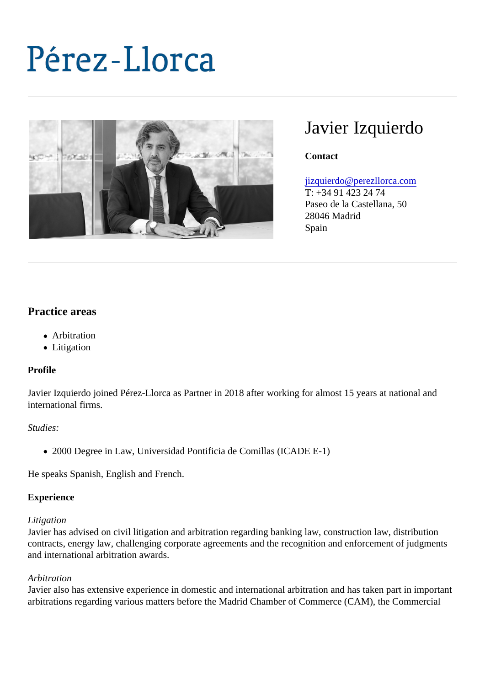# Javier Izquierdo

**Contact** 

# [jizquierdo@perezllorca.co](mailto:jizquierdo@perezllorca.com)m

T: +34 91 423 24 74 Paseo de la Castellana, 50 28046 Madrid Spain

# Practice areas

- Arbitration
- Litigation

#### Profile

Javier Izquierdo joined Pérez-Llorca as Partner in 2018 after working for almost 15 years at national and international firms.

#### Studies:

2000 Degree in Law, Universidad Pontificia de Comillas (ICADE E-1)

He speaks Spanish, English and French.

#### **Experience**

#### Litigation

Javier has advised on civil litigation and arbitration regarding banking law, construction law, distribution contracts, energy law, challenging corporate agreements and the recognition and enforcement of judgmer and international arbitration awards.

#### Arbitration

Javier also has extensive experience in domestic and international arbitration and has taken part in import arbitrations regarding various matters before the Madrid Chamber of Commerce (CAM), the Commercial